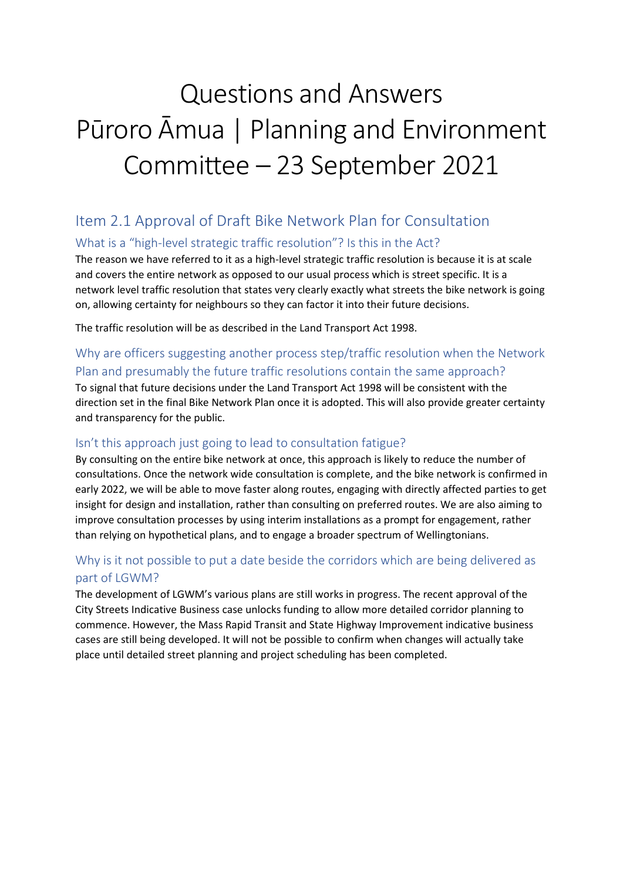# Questions and Answers Pūroro Āmua | Planning and Environment Committee – 23 September 2021

# Item 2.1 Approval of Draft Bike Network Plan for Consultation

# What is a "high-level strategic traffic resolution"? Is this in the Act?

The reason we have referred to it as a high-level strategic traffic resolution is because it is at scale and covers the entire network as opposed to our usual process which is street specific. It is a network level traffic resolution that states very clearly exactly what streets the bike network is going on, allowing certainty for neighbours so they can factor it into their future decisions.

The traffic resolution will be as described in the Land Transport Act 1998.

# Why are officers suggesting another process step/traffic resolution when the Network Plan and presumably the future traffic resolutions contain the same approach?

To signal that future decisions under the Land Transport Act 1998 will be consistent with the direction set in the final Bike Network Plan once it is adopted. This will also provide greater certainty and transparency for the public.

## Isn't this approach just going to lead to consultation fatigue?

By consulting on the entire bike network at once, this approach is likely to reduce the number of consultations. Once the network wide consultation is complete, and the bike network is confirmed in early 2022, we will be able to move faster along routes, engaging with directly affected parties to get insight for design and installation, rather than consulting on preferred routes. We are also aiming to improve consultation processes by using interim installations as a prompt for engagement, rather than relying on hypothetical plans, and to engage a broader spectrum of Wellingtonians.

# Why is it not possible to put a date beside the corridors which are being delivered as part of LGWM?

The development of LGWM's various plans are still works in progress. The recent approval of the City Streets Indicative Business case unlocks funding to allow more detailed corridor planning to commence. However, the Mass Rapid Transit and State Highway Improvement indicative business cases are still being developed. It will not be possible to confirm when changes will actually take place until detailed street planning and project scheduling has been completed.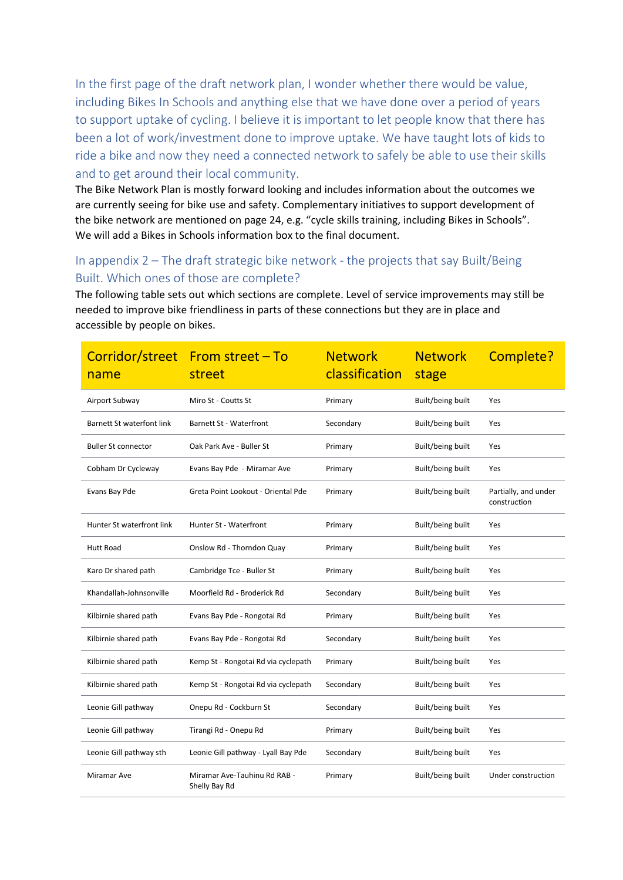In the first page of the draft network plan, I wonder whether there would be value, including Bikes In Schools and anything else that we have done over a period of years to support uptake of cycling. I believe it is important to let people know that there has been a lot of work/investment done to improve uptake. We have taught lots of kids to ride a bike and now they need a connected network to safely be able to use their skills and to get around their local community.

The Bike Network Plan is mostly forward looking and includes information about the outcomes we are currently seeing for bike use and safety. Complementary initiatives to support development of the bike network are mentioned on page 24, e.g. "cycle skills training, including Bikes in Schools". We will add a Bikes in Schools information box to the final document.

# In appendix 2 – The draft strategic bike network - the projects that say Built/Being Built. Which ones of those are complete?

The following table sets out which sections are complete. Level of service improvements may still be needed to improve bike friendliness in parts of these connections but they are in place and accessible by people on bikes.

| name                             | Corridor/street From street - To<br>street    | <b>Network</b><br>classification | <b>Network</b><br>stage | Complete?                            |
|----------------------------------|-----------------------------------------------|----------------------------------|-------------------------|--------------------------------------|
| Airport Subway                   | Miro St - Coutts St                           | Primary                          | Built/being built       | Yes                                  |
| <b>Barnett St waterfont link</b> | <b>Barnett St - Waterfront</b>                | Secondary                        | Built/being built       | Yes                                  |
| <b>Buller St connector</b>       | Oak Park Ave - Buller St                      | Primary                          | Built/being built       | Yes                                  |
| Cobham Dr Cycleway               | Evans Bay Pde - Miramar Ave                   | Primary                          | Built/being built       | Yes                                  |
| Evans Bay Pde                    | Greta Point Lookout - Oriental Pde            | Primary                          | Built/being built       | Partially, and under<br>construction |
| Hunter St waterfront link        | Hunter St - Waterfront                        | Primary                          | Built/being built       | Yes                                  |
| <b>Hutt Road</b>                 | Onslow Rd - Thorndon Quay                     | Primary                          | Built/being built       | Yes                                  |
| Karo Dr shared path              | Cambridge Tce - Buller St                     | Primary                          | Built/being built       | Yes                                  |
| Khandallah-Johnsonville          | Moorfield Rd - Broderick Rd                   | Secondary                        | Built/being built       | Yes                                  |
| Kilbirnie shared path            | Evans Bay Pde - Rongotai Rd                   | Primary                          | Built/being built       | Yes                                  |
| Kilbirnie shared path            | Evans Bay Pde - Rongotai Rd                   | Secondary                        | Built/being built       | Yes                                  |
| Kilbirnie shared path            | Kemp St - Rongotai Rd via cyclepath           | Primary                          | Built/being built       | Yes                                  |
| Kilbirnie shared path            | Kemp St - Rongotai Rd via cyclepath           | Secondary                        | Built/being built       | Yes                                  |
| Leonie Gill pathway              | Onepu Rd - Cockburn St                        | Secondary                        | Built/being built       | Yes                                  |
| Leonie Gill pathway              | Tirangi Rd - Onepu Rd                         | Primary                          | Built/being built       | Yes                                  |
| Leonie Gill pathway sth          | Leonie Gill pathway - Lyall Bay Pde           | Secondary                        | Built/being built       | Yes                                  |
| Miramar Ave                      | Miramar Ave-Tauhinu Rd RAB -<br>Shelly Bay Rd | Primary                          | Built/being built       | Under construction                   |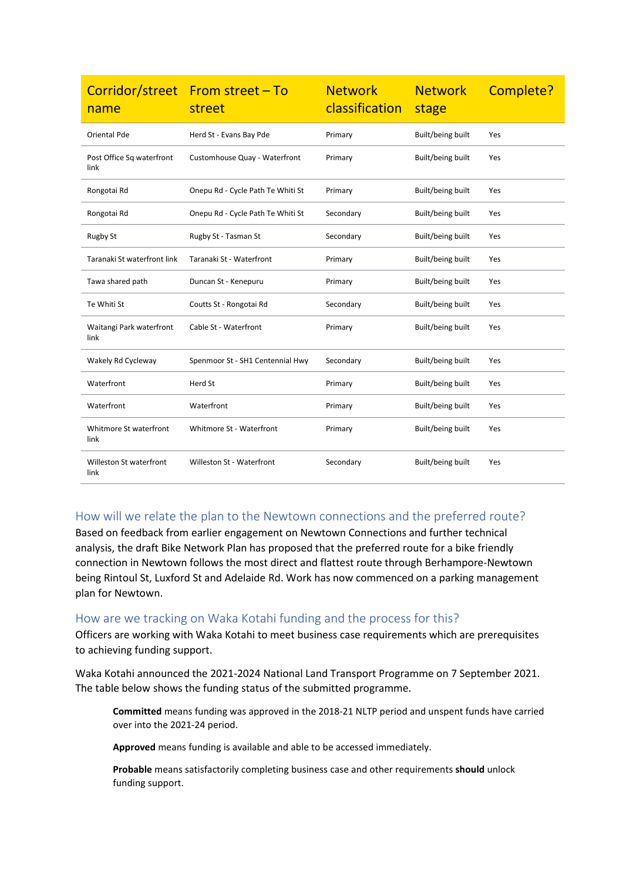| name                              | Corridor/street From street - To<br>street | <b>Network</b><br>classification | <b>Network</b><br>stage | Complete? |
|-----------------------------------|--------------------------------------------|----------------------------------|-------------------------|-----------|
| Oriental Pde                      | Herd St - Evans Bay Pde                    | Primary                          | Built/being built       | Yes       |
| Post Office Sq waterfront<br>link | Customhouse Quay - Waterfront              | Primary                          | Built/being built       | Yes       |
| Rongotai Rd                       | Onepu Rd - Cycle Path Te Whiti St          | Primary                          | Built/being built       | Yes       |
| Rongotai Rd                       | Onepu Rd - Cycle Path Te Whiti St          | Secondary                        | Built/being built       | Yes       |
| <b>Rugby St</b>                   | Rugby St - Tasman St                       | Secondary                        | Built/being built       | Yes       |
| Taranaki St waterfront link       | Taranaki St - Waterfront                   | Primary                          | Built/being built       | Yes       |
| Tawa shared path                  | Duncan St - Kenepuru                       | Primary                          | Built/being built       | Yes       |
| Te Whiti St                       | Coutts St - Rongotai Rd                    | Secondary                        | Built/being built       | Yes       |
| Waitangi Park waterfront<br>link  | Cable St - Waterfront                      | Primary                          | Built/being built       | Yes       |
| Wakely Rd Cycleway                | Spenmoor St - SH1 Centennial Hwy           | Secondary                        | Built/being built       | Yes       |
| Waterfront                        | Herd St                                    | Primary                          | Built/being built       | Yes       |
| Waterfront                        | Waterfront                                 | Primary                          | Built/being built       | Yes       |
| Whitmore St waterfront<br>link    | Whitmore St - Waterfront                   | Primary                          | Built/being built       | Yes       |
| Willeston St waterfront<br>link   | Willeston St - Waterfront                  | Secondary                        | Built/being built       | Yes       |

#### How will we relate the plan to the Newtown connections and the preferred route?

Based on feedback from earlier engagement on Newtown Connections and further technical analysis, the draft Bike Network Plan has proposed that the preferred route for a bike friendly connection in Newtown follows the most direct and flattest route through Berhampore-Newtown being Rintoul St, Luxford St and Adelaide Rd. Work has now commenced on a parking management plan for Newtown.

#### How are we tracking on Waka Kotahi funding and the process for this?

Officers are working with Waka Kotahi to meet business case requirements which are prerequisites to achieving funding support.

Waka Kotahi announced the 2021-2024 National Land Transport Programme on 7 September 2021. The table below shows the funding status of the submitted programme.

**Committed** means funding was approved in the 2018-21 NLTP period and unspent funds have carried over into the 2021-24 period.

**Approved** means funding is available and able to be accessed immediately.

**Probable** means satisfactorily completing business case and other requirements **should** unlock funding support.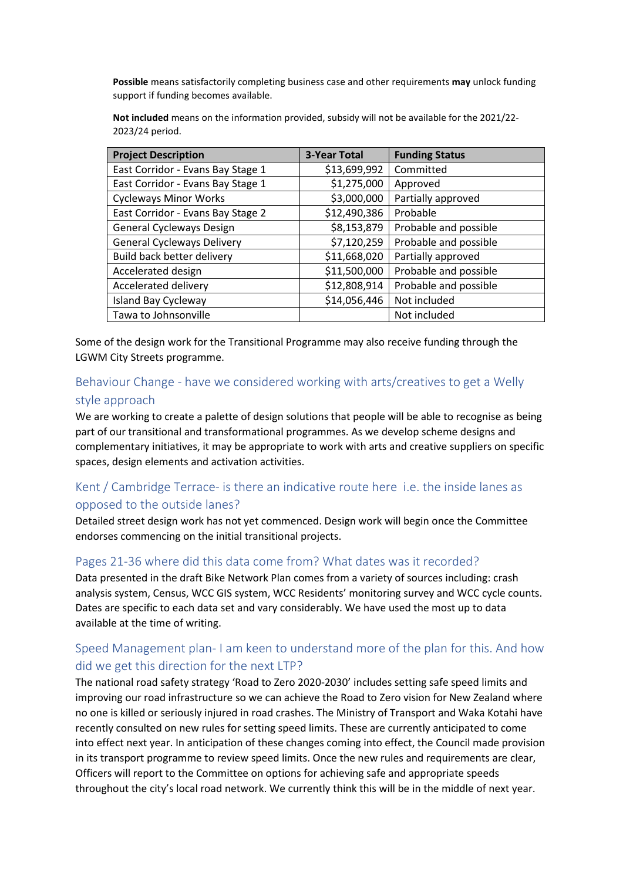**Possible** means satisfactorily completing business case and other requirements **may** unlock funding support if funding becomes available.

**Not included** means on the information provided, subsidy will not be available for the 2021/22- 2023/24 period.

| <b>Project Description</b>        | <b>3-Year Total</b> | <b>Funding Status</b> |
|-----------------------------------|---------------------|-----------------------|
| East Corridor - Evans Bay Stage 1 | \$13,699,992        | Committed             |
| East Corridor - Evans Bay Stage 1 | \$1,275,000         | Approved              |
| <b>Cycleways Minor Works</b>      | \$3,000,000         | Partially approved    |
| East Corridor - Evans Bay Stage 2 | \$12,490,386        | Probable              |
| <b>General Cycleways Design</b>   | \$8,153,879         | Probable and possible |
| <b>General Cycleways Delivery</b> | \$7,120,259         | Probable and possible |
| Build back better delivery        | \$11,668,020        | Partially approved    |
| Accelerated design                | \$11,500,000        | Probable and possible |
| Accelerated delivery              | \$12,808,914        | Probable and possible |
| <b>Island Bay Cycleway</b>        | \$14,056,446        | Not included          |
| Tawa to Johnsonville              |                     | Not included          |

Some of the design work for the Transitional Programme may also receive funding through the LGWM City Streets programme.

#### Behaviour Change - have we considered working with arts/creatives to get a Welly style approach

We are working to create a palette of design solutions that people will be able to recognise as being part of our transitional and transformational programmes. As we develop scheme designs and complementary initiatives, it may be appropriate to work with arts and creative suppliers on specific spaces, design elements and activation activities.

# Kent / Cambridge Terrace- is there an indicative route here i.e. the inside lanes as opposed to the outside lanes?

Detailed street design work has not yet commenced. Design work will begin once the Committee endorses commencing on the initial transitional projects.

#### Pages 21-36 where did this data come from? What dates was it recorded?

Data presented in the draft Bike Network Plan comes from a variety of sources including: crash analysis system, Census, WCC GIS system, WCC Residents' monitoring survey and WCC cycle counts. Dates are specific to each data set and vary considerably. We have used the most up to data available at the time of writing.

## Speed Management plan- I am keen to understand more of the plan for this. And how did we get this direction for the next LTP?

The national road safety strategy 'Road to Zero 2020-2030' includes setting safe speed limits and improving our road infrastructure so we can achieve the Road to Zero vision for New Zealand where no one is killed or seriously injured in road crashes. The Ministry of Transport and Waka Kotahi have recently consulted on new rules for setting speed limits. These are currently anticipated to come into effect next year. In anticipation of these changes coming into effect, the Council made provision in its transport programme to review speed limits. Once the new rules and requirements are clear, Officers will report to the Committee on options for achieving safe and appropriate speeds throughout the city's local road network. We currently think this will be in the middle of next year.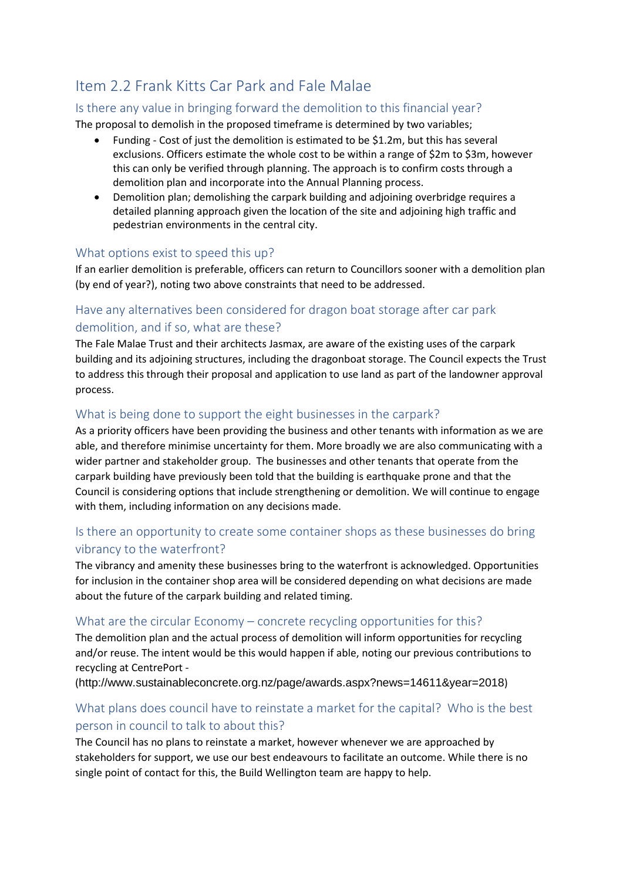# Item 2.2 Frank Kitts Car Park and Fale Malae

### Is there any value in bringing forward the demolition to this financial year?

The proposal to demolish in the proposed timeframe is determined by two variables;

- Funding Cost of just the demolition is estimated to be \$1.2m, but this has several exclusions. Officers estimate the whole cost to be within a range of \$2m to \$3m, however this can only be verified through planning. The approach is to confirm costs through a demolition plan and incorporate into the Annual Planning process.
- Demolition plan; demolishing the carpark building and adjoining overbridge requires a detailed planning approach given the location of the site and adjoining high traffic and pedestrian environments in the central city.

#### What options exist to speed this up?

If an earlier demolition is preferable, officers can return to Councillors sooner with a demolition plan (by end of year?), noting two above constraints that need to be addressed.

# Have any alternatives been considered for dragon boat storage after car park demolition, and if so, what are these?

The Fale Malae Trust and their architects Jasmax, are aware of the existing uses of the carpark building and its adjoining structures, including the dragonboat storage. The Council expects the Trust to address this through their proposal and application to use land as part of the landowner approval process.

#### What is being done to support the eight businesses in the carpark?

As a priority officers have been providing the business and other tenants with information as we are able, and therefore minimise uncertainty for them. More broadly we are also communicating with a wider partner and stakeholder group. The businesses and other tenants that operate from the carpark building have previously been told that the building is earthquake prone and that the Council is considering options that include strengthening or demolition. We will continue to engage with them, including information on any decisions made.

## Is there an opportunity to create some container shops as these businesses do bring vibrancy to the waterfront?

The vibrancy and amenity these businesses bring to the waterfront is acknowledged. Opportunities for inclusion in the container shop area will be considered depending on what decisions are made about the future of the carpark building and related timing.

#### What are the circular Economy – concrete recycling opportunities for this?

The demolition plan and the actual process of demolition will inform opportunities for recycling and/or reuse. The intent would be this would happen if able, noting our previous contributions to recycling at CentrePort -

(<http://www.sustainableconcrete.org.nz/page/awards.aspx?news=14611&year=2018>)

## What plans does council have to reinstate a market for the capital? Who is the best person in council to talk to about this?

The Council has no plans to reinstate a market, however whenever we are approached by stakeholders for support, we use our best endeavours to facilitate an outcome. While there is no single point of contact for this, the Build Wellington team are happy to help.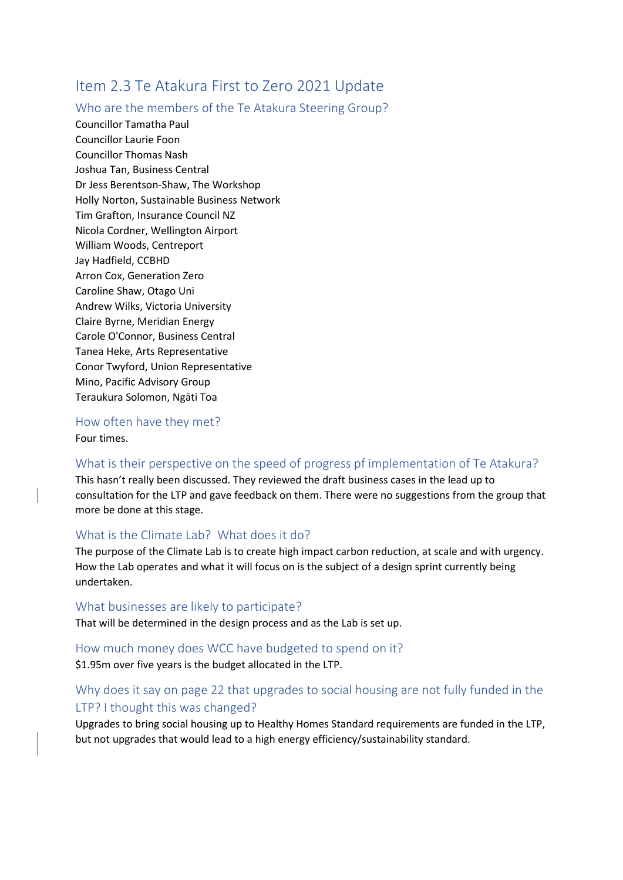# Item 2.3 Te Atakura First to Zero 2021 Update

#### Who are the members of the Te Atakura Steering Group?

Councillor Tamatha Paul Councillor Laurie Foon Councillor Thomas Nash Joshua Tan, Business Central Dr Jess Berentson-Shaw, The Workshop Holly Norton, Sustainable Business Network Tim Grafton, Insurance Council NZ Nicola Cordner, Wellington Airport William Woods, Centreport Jay Hadfield, CCBHD Arron Cox, Generation Zero Caroline Shaw, Otago Uni Andrew Wilks, Victoria University Claire Byrne, Meridian Energy Carole O'Connor, Business Central Tanea Heke, Arts Representative Conor Twyford, Union Representative Mino, Pacific Advisory Group Teraukura Solomon, Ngāti Toa

How often have they met? Four times.

#### What is their perspective on the speed of progress pf implementation of Te Atakura?

This hasn't really been discussed. They reviewed the draft business cases in the lead up to consultation for the LTP and gave feedback on them. There were no suggestions from the group that more be done at this stage.

#### What is the Climate Lab? What does it do?

The purpose of the Climate Lab is to create high impact carbon reduction, at scale and with urgency. How the Lab operates and what it will focus on is the subject of a design sprint currently being undertaken.

#### What businesses are likely to participate?

That will be determined in the design process and as the Lab is set up.

#### How much money does WCC have budgeted to spend on it? \$1.95m over five years is the budget allocated in the LTP.

## Why does it say on page 22 that upgrades to social housing are not fully funded in the LTP? I thought this was changed?

Upgrades to bring social housing up to Healthy Homes Standard requirements are funded in the LTP, but not upgrades that would lead to a high energy efficiency/sustainability standard.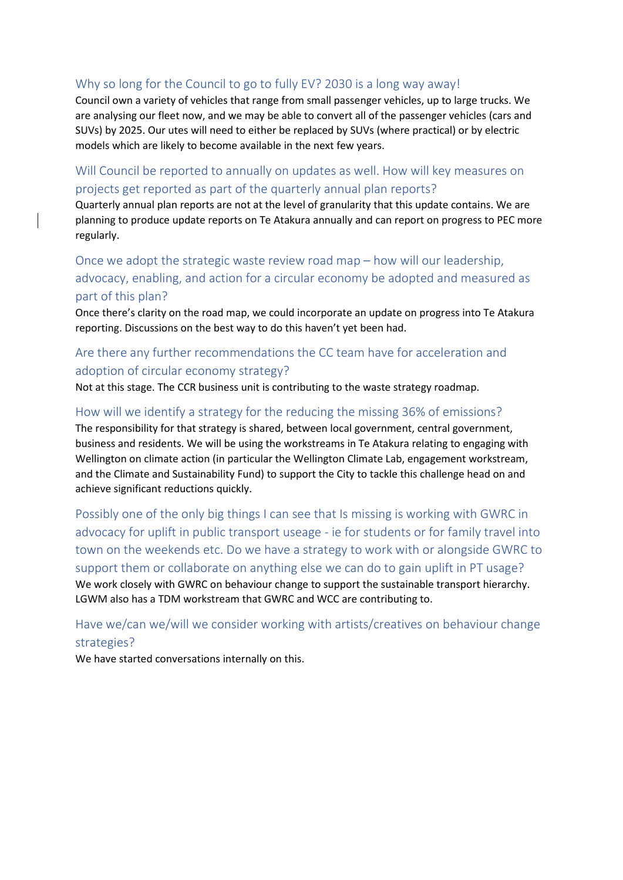#### Why so long for the Council to go to fully EV? 2030 is a long way away!

Council own a variety of vehicles that range from small passenger vehicles, up to large trucks. We are analysing our fleet now, and we may be able to convert all of the passenger vehicles (cars and SUVs) by 2025. Our utes will need to either be replaced by SUVs (where practical) or by electric models which are likely to become available in the next few years.

#### Will Council be reported to annually on updates as well. How will key measures on projects get reported as part of the quarterly annual plan reports?

Quarterly annual plan reports are not at the level of granularity that this update contains. We are planning to produce update reports on Te Atakura annually and can report on progress to PEC more regularly.

# Once we adopt the strategic waste review road map – how will our leadership, advocacy, enabling, and action for a circular economy be adopted and measured as part of this plan?

Once there's clarity on the road map, we could incorporate an update on progress into Te Atakura reporting. Discussions on the best way to do this haven't yet been had.

# Are there any further recommendations the CC team have for acceleration and adoption of circular economy strategy?

Not at this stage. The CCR business unit is contributing to the waste strategy roadmap.

#### How will we identify a strategy for the reducing the missing 36% of emissions?

The responsibility for that strategy is shared, between local government, central government, business and residents. We will be using the workstreams in Te Atakura relating to engaging with Wellington on climate action (in particular the Wellington Climate Lab, engagement workstream, and the Climate and Sustainability Fund) to support the City to tackle this challenge head on and achieve significant reductions quickly.

Possibly one of the only big things I can see that Is missing is working with GWRC in advocacy for uplift in public transport useage - ie for students or for family travel into town on the weekends etc. Do we have a strategy to work with or alongside GWRC to support them or collaborate on anything else we can do to gain uplift in PT usage? We work closely with GWRC on behaviour change to support the sustainable transport hierarchy. LGWM also has a TDM workstream that GWRC and WCC are contributing to.

## Have we/can we/will we consider working with artists/creatives on behaviour change strategies?

We have started conversations internally on this.